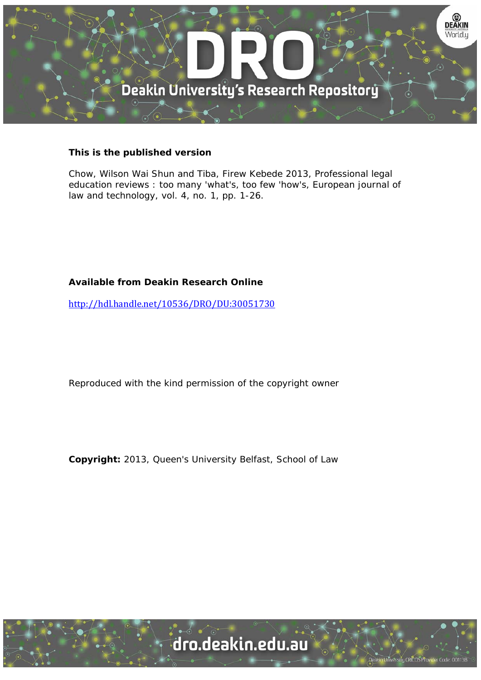

### **This is the published version**

Chow, Wilson Wai Shun and Tiba, Firew Kebede 2013, Professional legal education reviews : too many 'what's, too few 'how's, European journal of law and technology, vol. 4, no. 1, pp. 1-26.

### **Available from Deakin Research Online**

http://hdl.handle.net/10536/DRO/DU:30051730

Reproduced with the kind permission of the copyright owner

**Copyright:** 2013, Queen's University Belfast, School of Law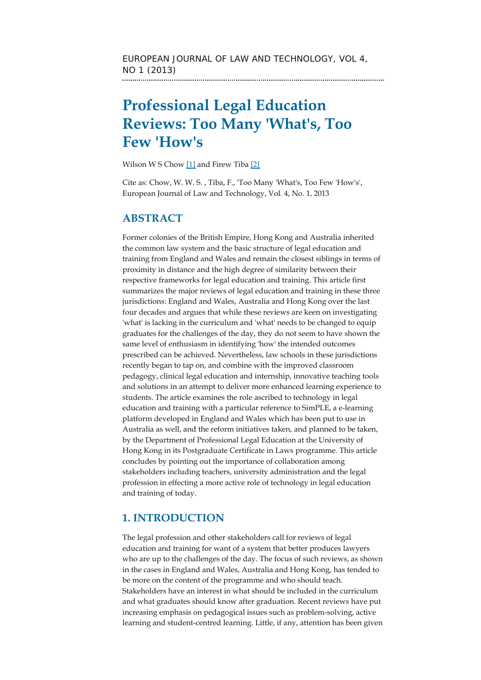# **Professional Legal Education Reviews: Too Many 'What's, Too Few 'How's**

Wilson W S Chow [1] and Firew Tiba [2]

Cite as: Chow, W. W. S. , Tiba, F., 'Too Many 'What's, Too Few 'How's', European Journal of Law and Technology, Vol. 4, No. 1, 2013

## **ABSTRACT**

Former colonies of the British Empire, Hong Kong and Australia inherited the common law system and the basic structure of legal education and training from England and Wales and remain the closest siblings in terms of proximity in distance and the high degree of similarity between their respective frameworks for legal education and training. This article first summarizes the major reviews of legal education and training in these three jurisdictions: England and Wales, Australia and Hong Kong over the last four decades and argues that while these reviews are keen on investigating 'what' is lacking in the curriculum and 'what' needs to be changed to equip graduates for the challenges of the day, they do not seem to have shown the same level of enthusiasm in identifying 'how' the intended outcomes prescribed can be achieved. Nevertheless, law schools in these jurisdictions recently began to tap on, and combine with the improved classroom pedagogy, clinical legal education and internship, innovative teaching tools and solutions in an attempt to deliver more enhanced learning experience to students. The article examines the role ascribed to technology in legal education and training with a particular reference to SimPLE, a e-learning platform developed in England and Wales which has been put to use in Australia as well, and the reform initiatives taken, and planned to be taken, by the Department of Professional Legal Education at the University of Hong Kong in its Postgraduate Certificate in Laws programme. This article concludes by pointing out the importance of collaboration among stakeholders including teachers, university administration and the legal profession in effecting a more active role of technology in legal education and training of today.

# **1. INTRODUCTION**

The legal profession and other stakeholders call for reviews of legal education and training for want of a system that better produces lawyers who are up to the challenges of the day. The focus of such reviews, as shown in the cases in England and Wales, Australia and Hong Kong, has tended to be more on the content of the programme and who should teach. Stakeholders have an interest in what should be included in the curriculum and what graduates should know after graduation. Recent reviews have put increasing emphasis on pedagogical issues such as problem-solving, active learning and student-centred learning. Little, if any, attention has been given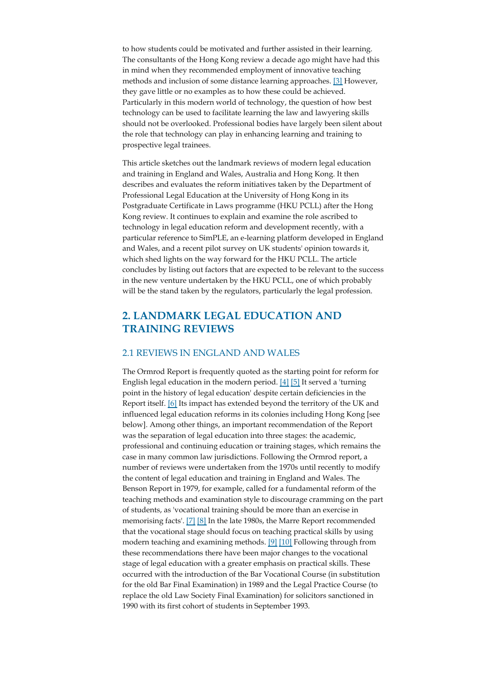to how students could be motivated and further assisted in their learning. The consultants of the Hong Kong review a decade ago might have had this in mind when they recommended employment of innovative teaching methods and inclusion of some distance learning approaches. [3] However, they gave little or no examples as to how these could be achieved. Particularly in this modern world of technology, the question of how best technology can be used to facilitate learning the law and lawyering skills should not be overlooked. Professional bodies have largely been silent about the role that technology can play in enhancing learning and training to prospective legal trainees.

This article sketches out the landmark reviews of modern legal education and training in England and Wales, Australia and Hong Kong. It then describes and evaluates the reform initiatives taken by the Department of Professional Legal Education at the University of Hong Kong in its Postgraduate Certificate in Laws programme (HKU PCLL) after the Hong Kong review. It continues to explain and examine the role ascribed to technology in legal education reform and development recently, with a particular reference to SimPLE, an e-learning platform developed in England and Wales, and a recent pilot survey on UK students' opinion towards it, which shed lights on the way forward for the HKU PCLL. The article concludes by listing out factors that are expected to be relevant to the success in the new venture undertaken by the HKU PCLL, one of which probably will be the stand taken by the regulators, particularly the legal profession.

### **2. LANDMARK LEGAL EDUCATION AND TRAINING REVIEWS**

#### 2.1 REVIEWS IN ENGLAND AND WALES

The Ormrod Report is frequently quoted as the starting point for reform for English legal education in the modern period.  $[4]$  [5] It served a 'turning point in the history of legal education' despite certain deficiencies in the Report itself. [6] Its impact has extended beyond the territory of the UK and influenced legal education reforms in its colonies including Hong Kong [see below]. Among other things, an important recommendation of the Report was the separation of legal education into three stages: the academic, professional and continuing education or training stages, which remains the case in many common law jurisdictions. Following the Ormrod report, a number of reviews were undertaken from the 1970s until recently to modify the content of legal education and training in England and Wales. The Benson Report in 1979, for example, called for a fundamental reform of the teaching methods and examination style to discourage cramming on the part of students, as 'vocational training should be more than an exercise in memorising facts'. [7] [8] In the late 1980s, the Marre Report recommended that the vocational stage should focus on teaching practical skills by using modern teaching and examining methods. [9] [10] Following through from these recommendations there have been major changes to the vocational stage of legal education with a greater emphasis on practical skills. These occurred with the introduction of the Bar Vocational Course (in substitution for the old Bar Final Examination) in 1989 and the Legal Practice Course (to replace the old Law Society Final Examination) for solicitors sanctioned in 1990 with its first cohort of students in September 1993.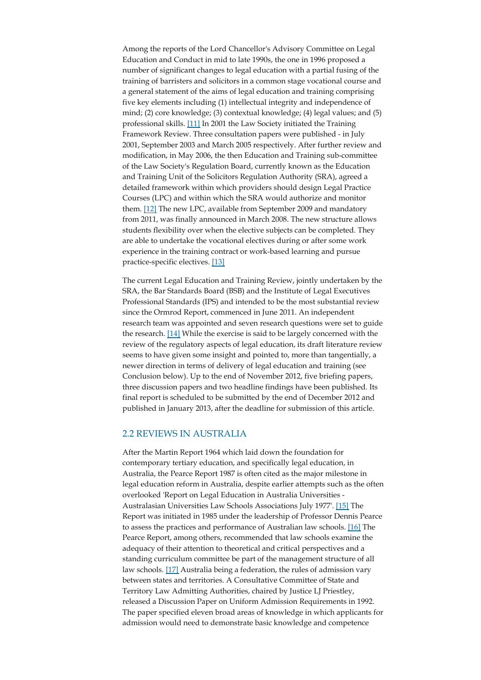Among the reports of the Lord Chancellor's Advisory Committee on Legal Education and Conduct in mid to late 1990s, the one in 1996 proposed a number of significant changes to legal education with a partial fusing of the training of barristers and solicitors in a common stage vocational course and a general statement of the aims of legal education and training comprising five key elements including (1) intellectual integrity and independence of mind; (2) core knowledge; (3) contextual knowledge; (4) legal values; and (5) professional skills. [11] In 2001 the Law Society initiated the Training Framework Review. Three consultation papers were published - in July 2001, September 2003 and March 2005 respectively. After further review and modification, in May 2006, the then Education and Training sub-committee of the Law Society's Regulation Board, currently known as the Education and Training Unit of the Solicitors Regulation Authority (SRA), agreed a detailed framework within which providers should design Legal Practice Courses (LPC) and within which the SRA would authorize and monitor them. [12] The new LPC, available from September 2009 and mandatory from 2011, was finally announced in March 2008. The new structure allows students flexibility over when the elective subjects can be completed. They are able to undertake the vocational electives during or after some work experience in the training contract or work-based learning and pursue practice-specific electives. [13]

The current Legal Education and Training Review, jointly undertaken by the SRA, the Bar Standards Board (BSB) and the Institute of Legal Executives Professional Standards (IPS) and intended to be the most substantial review since the Ormrod Report, commenced in June 2011. An independent research team was appointed and seven research questions were set to guide the research. [14] While the exercise is said to be largely concerned with the review of the regulatory aspects of legal education, its draft literature review seems to have given some insight and pointed to, more than tangentially, a newer direction in terms of delivery of legal education and training (see Conclusion below). Up to the end of November 2012, five briefing papers, three discussion papers and two headline findings have been published. Its final report is scheduled to be submitted by the end of December 2012 and published in January 2013, after the deadline for submission of this article.

#### 2.2 REVIEWS IN AUSTRALIA

After the Martin Report 1964 which laid down the foundation for contemporary tertiary education, and specifically legal education, in Australia, the Pearce Report 1987 is often cited as the major milestone in legal education reform in Australia, despite earlier attempts such as the often overlooked 'Report on Legal Education in Australia Universities - Australasian Universities Law Schools Associations July 1977'. [15] The Report was initiated in 1985 under the leadership of Professor Dennis Pearce to assess the practices and performance of Australian law schools. [16] The Pearce Report, among others, recommended that law schools examine the adequacy of their attention to theoretical and critical perspectives and a standing curriculum committee be part of the management structure of all law schools. [17] Australia being a federation, the rules of admission vary between states and territories. A Consultative Committee of State and Territory Law Admitting Authorities, chaired by Justice LJ Priestley, released a Discussion Paper on Uniform Admission Requirements in 1992. The paper specified eleven broad areas of knowledge in which applicants for admission would need to demonstrate basic knowledge and competence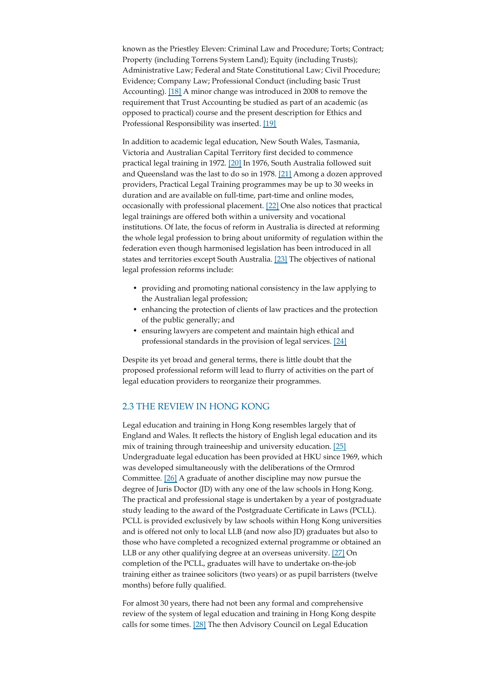known as the Priestley Eleven: Criminal Law and Procedure; Torts; Contract; Property (including Torrens System Land); Equity (including Trusts); Administrative Law; Federal and State Constitutional Law; Civil Procedure; Evidence; Company Law; Professional Conduct (including basic Trust Accounting). [18] A minor change was introduced in 2008 to remove the requirement that Trust Accounting be studied as part of an academic (as opposed to practical) course and the present description for Ethics and Professional Responsibility was inserted. [19]

In addition to academic legal education, New South Wales, Tasmania, Victoria and Australian Capital Territory first decided to commence practical legal training in 1972. [20] In 1976, South Australia followed suit and Queensland was the last to do so in 1978. [21] Among a dozen approved providers, Practical Legal Training programmes may be up to 30 weeks in duration and are available on full-time, part-time and online modes, occasionally with professional placement. [22] One also notices that practical legal trainings are offered both within a university and vocational institutions. Of late, the focus of reform in Australia is directed at reforming the whole legal profession to bring about uniformity of regulation within the federation even though harmonised legislation has been introduced in all states and territories except South Australia. [23] The objectives of national legal profession reforms include:

- providing and promoting national consistency in the law applying to the Australian legal profession;
- enhancing the protection of clients of law practices and the protection of the public generally; and
- ensuring lawyers are competent and maintain high ethical and professional standards in the provision of legal services. [24]

Despite its yet broad and general terms, there is little doubt that the proposed professional reform will lead to flurry of activities on the part of legal education providers to reorganize their programmes.

#### 2.3 THE REVIEW IN HONG KONG

Legal education and training in Hong Kong resembles largely that of England and Wales. It reflects the history of English legal education and its mix of training through traineeship and university education. [25] Undergraduate legal education has been provided at HKU since 1969, which was developed simultaneously with the deliberations of the Ormrod Committee. [26] A graduate of another discipline may now pursue the degree of Juris Doctor (JD) with any one of the law schools in Hong Kong. The practical and professional stage is undertaken by a year of postgraduate study leading to the award of the Postgraduate Certificate in Laws (PCLL). PCLL is provided exclusively by law schools within Hong Kong universities and is offered not only to local LLB (and now also JD) graduates but also to those who have completed a recognized external programme or obtained an LLB or any other qualifying degree at an overseas university. [27] On completion of the PCLL, graduates will have to undertake on-the-job training either as trainee solicitors (two years) or as pupil barristers (twelve months) before fully qualified.

For almost 30 years, there had not been any formal and comprehensive review of the system of legal education and training in Hong Kong despite calls for some times. [28] The then Advisory Council on Legal Education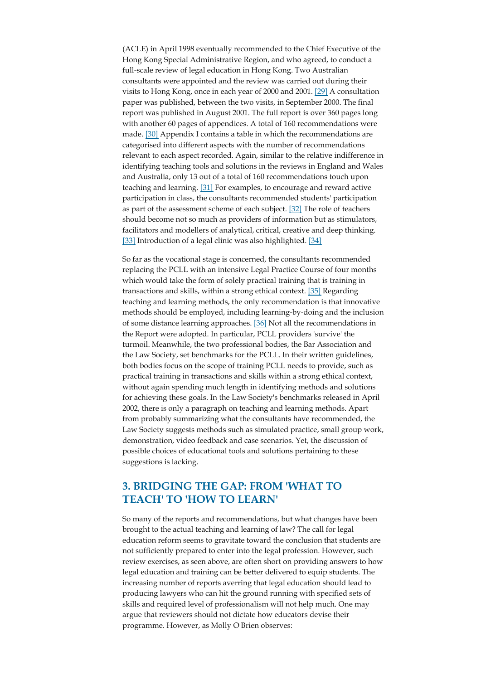(ACLE) in April 1998 eventually recommended to the Chief Executive of the Hong Kong Special Administrative Region, and who agreed, to conduct a full-scale review of legal education in Hong Kong. Two Australian consultants were appointed and the review was carried out during their visits to Hong Kong, once in each year of 2000 and 2001. [29] A consultation paper was published, between the two visits, in September 2000. The final report was published in August 2001. The full report is over 360 pages long with another 60 pages of appendices. A total of 160 recommendations were made. [30] Appendix I contains a table in which the recommendations are categorised into different aspects with the number of recommendations relevant to each aspect recorded. Again, similar to the relative indifference in identifying teaching tools and solutions in the reviews in England and Wales and Australia, only 13 out of a total of 160 recommendations touch upon teaching and learning. [31] For examples, to encourage and reward active participation in class, the consultants recommended students' participation as part of the assessment scheme of each subject. [32] The role of teachers should become not so much as providers of information but as stimulators, facilitators and modellers of analytical, critical, creative and deep thinking. [33] Introduction of a legal clinic was also highlighted. [34]

So far as the vocational stage is concerned, the consultants recommended replacing the PCLL with an intensive Legal Practice Course of four months which would take the form of solely practical training that is training in transactions and skills, within a strong ethical context. [35] Regarding teaching and learning methods, the only recommendation is that innovative methods should be employed, including learning-by-doing and the inclusion of some distance learning approaches. [36] Not all the recommendations in the Report were adopted. In particular, PCLL providers 'survive' the turmoil. Meanwhile, the two professional bodies, the Bar Association and the Law Society, set benchmarks for the PCLL. In their written guidelines, both bodies focus on the scope of training PCLL needs to provide, such as practical training in transactions and skills within a strong ethical context, without again spending much length in identifying methods and solutions for achieving these goals. In the Law Society's benchmarks released in April 2002, there is only a paragraph on teaching and learning methods. Apart from probably summarizing what the consultants have recommended, the Law Society suggests methods such as simulated practice, small group work, demonstration, video feedback and case scenarios. Yet, the discussion of possible choices of educational tools and solutions pertaining to these suggestions is lacking.

### **3. BRIDGING THE GAP: FROM 'WHAT TO TEACH' TO 'HOW TO LEARN'**

So many of the reports and recommendations, but what changes have been brought to the actual teaching and learning of law? The call for legal education reform seems to gravitate toward the conclusion that students are not sufficiently prepared to enter into the legal profession. However, such review exercises, as seen above, are often short on providing answers to how legal education and training can be better delivered to equip students. The increasing number of reports averring that legal education should lead to producing lawyers who can hit the ground running with specified sets of skills and required level of professionalism will not help much. One may argue that reviewers should not dictate how educators devise their programme. However, as Molly O'Brien observes: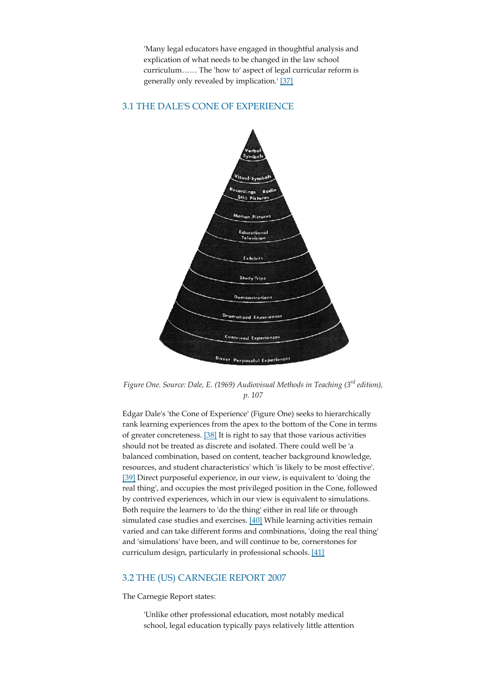'Many legal educators have engaged in thoughtful analysis and explication of what needs to be changed in the law school curriculum…… The 'how to' aspect of legal curricular reform is generally only revealed by implication.' [37]

#### 3.1 THE DALE'S CONE OF EXPERIENCE



*Figure One. Source: Dale, E. (1969) Audiovisual Methods in Teaching (3rd edition), p. 107*

Edgar Dale's 'the Cone of Experience' (Figure One) seeks to hierarchically rank learning experiences from the apex to the bottom of the Cone in terms of greater concreteness. [38] It is right to say that those various activities should not be treated as discrete and isolated. There could well be 'a balanced combination, based on content, teacher background knowledge, resources, and student characteristics' which 'is likely to be most effective'. [39] Direct purposeful experience, in our view, is equivalent to 'doing the real thing', and occupies the most privileged position in the Cone, followed by contrived experiences, which in our view is equivalent to simulations. Both require the learners to 'do the thing' either in real life or through simulated case studies and exercises. [40] While learning activities remain varied and can take different forms and combinations, 'doing the real thing' and 'simulations' have been, and will continue to be, cornerstones for curriculum design, particularly in professional schools. [41]

#### 3.2 THE (US) CARNEGIE REPORT 2007

The Carnegie Report states:

'Unlike other professional education, most notably medical school, legal education typically pays relatively little attention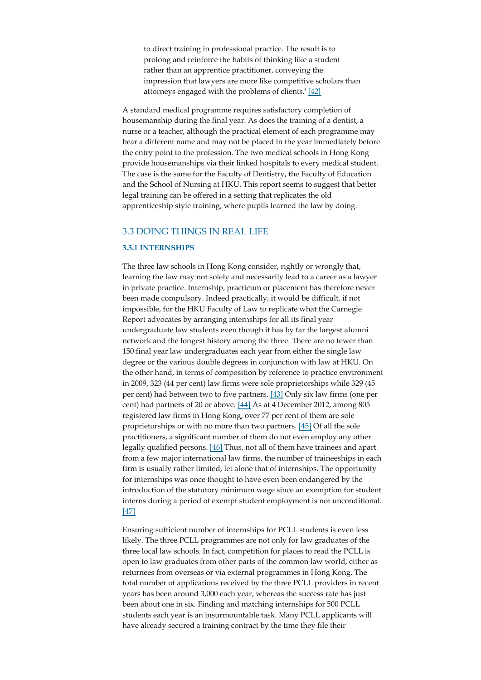to direct training in professional practice. The result is to prolong and reinforce the habits of thinking like a student rather than an apprentice practitioner, conveying the impression that lawyers are more like competitive scholars than attorneys engaged with the problems of clients.' [42]

A standard medical programme requires satisfactory completion of housemanship during the final year. As does the training of a dentist, a nurse or a teacher, although the practical element of each programme may bear a different name and may not be placed in the year immediately before the entry point to the profession. The two medical schools in Hong Kong provide housemanships via their linked hospitals to every medical student. The case is the same for the Faculty of Dentistry, the Faculty of Education and the School of Nursing at HKU. This report seems to suggest that better legal training can be offered in a setting that replicates the old apprenticeship style training, where pupils learned the law by doing.

#### 3.3 DOING THINGS IN REAL LIFE

#### **3.3.1 INTERNSHIPS**

The three law schools in Hong Kong consider, rightly or wrongly that, learning the law may not solely and necessarily lead to a career as a lawyer in private practice. Internship, practicum or placement has therefore never been made compulsory. Indeed practically, it would be difficult, if not impossible, for the HKU Faculty of Law to replicate what the Carnegie Report advocates by arranging internships for all its final year undergraduate law students even though it has by far the largest alumni network and the longest history among the three. There are no fewer than 150 final year law undergraduates each year from either the single law degree or the various double degrees in conjunction with law at HKU. On the other hand, in terms of composition by reference to practice environment in 2009, 323 (44 per cent) law firms were sole proprietorships while 329 (45 per cent) had between two to five partners. [43] Only six law firms (one per cent) had partners of 20 or above. [44] As at 4 December 2012, among 805 registered law firms in Hong Kong, over 77 per cent of them are sole proprietorships or with no more than two partners. [45] Of all the sole practitioners, a significant number of them do not even employ any other legally qualified persons. [46] Thus, not all of them have trainees and apart from a few major international law firms, the number of traineeships in each firm is usually rather limited, let alone that of internships. The opportunity for internships was once thought to have even been endangered by the introduction of the statutory minimum wage since an exemption for student interns during a period of exempt student employment is not unconditional. [47]

Ensuring sufficient number of internships for PCLL students is even less likely. The three PCLL programmes are not only for law graduates of the three local law schools. In fact, competition for places to read the PCLL is open to law graduates from other parts of the common law world, either as returnees from overseas or via external programmes in Hong Kong. The total number of applications received by the three PCLL providers in recent years has been around 3,000 each year, whereas the success rate has just been about one in six. Finding and matching internships for 500 PCLL students each year is an insurmountable task. Many PCLL applicants will have already secured a training contract by the time they file their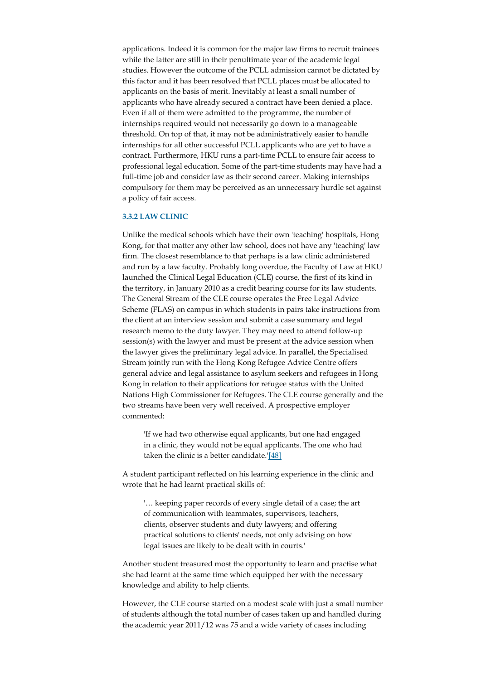applications. Indeed it is common for the major law firms to recruit trainees while the latter are still in their penultimate year of the academic legal studies. However the outcome of the PCLL admission cannot be dictated by this factor and it has been resolved that PCLL places must be allocated to applicants on the basis of merit. Inevitably at least a small number of applicants who have already secured a contract have been denied a place. Even if all of them were admitted to the programme, the number of internships required would not necessarily go down to a manageable threshold. On top of that, it may not be administratively easier to handle internships for all other successful PCLL applicants who are yet to have a contract. Furthermore, HKU runs a part-time PCLL to ensure fair access to professional legal education. Some of the part-time students may have had a full-time job and consider law as their second career. Making internships compulsory for them may be perceived as an unnecessary hurdle set against a policy of fair access.

#### **3.3.2 LAW CLINIC**

Unlike the medical schools which have their own 'teaching' hospitals, Hong Kong, for that matter any other law school, does not have any 'teaching' law firm. The closest resemblance to that perhaps is a law clinic administered and run by a law faculty. Probably long overdue, the Faculty of Law at HKU launched the Clinical Legal Education (CLE) course, the first of its kind in the territory, in January 2010 as a credit bearing course for its law students. The General Stream of the CLE course operates the Free Legal Advice Scheme (FLAS) on campus in which students in pairs take instructions from the client at an interview session and submit a case summary and legal research memo to the duty lawyer. They may need to attend follow-up session(s) with the lawyer and must be present at the advice session when the lawyer gives the preliminary legal advice. In parallel, the Specialised Stream jointly run with the Hong Kong Refugee Advice Centre offers general advice and legal assistance to asylum seekers and refugees in Hong Kong in relation to their applications for refugee status with the United Nations High Commissioner for Refugees. The CLE course generally and the two streams have been very well received. A prospective employer commented:

'If we had two otherwise equal applicants, but one had engaged in a clinic, they would not be equal applicants. The one who had taken the clinic is a better candidate.'[48]

A student participant reflected on his learning experience in the clinic and wrote that he had learnt practical skills of:

'… keeping paper records of every single detail of a case; the art of communication with teammates, supervisors, teachers, clients, observer students and duty lawyers; and offering practical solutions to clients' needs, not only advising on how legal issues are likely to be dealt with in courts.'

Another student treasured most the opportunity to learn and practise what she had learnt at the same time which equipped her with the necessary knowledge and ability to help clients.

However, the CLE course started on a modest scale with just a small number of students although the total number of cases taken up and handled during the academic year 2011/12 was 75 and a wide variety of cases including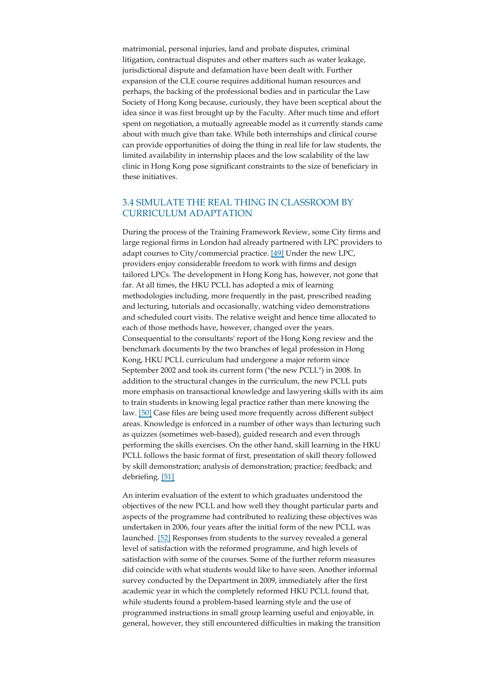matrimonial, personal injuries, land and probate disputes, criminal litigation, contractual disputes and other matters such as water leakage, jurisdictional dispute and defamation have been dealt with. Further expansion of the CLE course requires additional human resources and perhaps, the backing of the professional bodies and in particular the Law Society of Hong Kong because, curiously, they have been sceptical about the idea since it was first brought up by the Faculty. After much time and effort spent on negotiation, a mutually agreeable model as it currently stands came about with much give than take. While both internships and clinical course can provide opportunities of doing the thing in real life for law students, the limited availability in internship places and the low scalability of the law clinic in Hong Kong pose significant constraints to the size of beneficiary in these initiatives.

### 3.4 SIMULATE THE REAL THING IN CLASSROOM BY CURRICULUM ADAPTATION

During the process of the Training Framework Review, some City firms and large regional firms in London had already partnered with LPC providers to adapt courses to City/commercial practice. [49] Under the new LPC, providers enjoy considerable freedom to work with firms and design tailored LPCs. The development in Hong Kong has, however, not gone that far. At all times, the HKU PCLL has adopted a mix of learning methodologies including, more frequently in the past, prescribed reading and lecturing, tutorials and occasionally, watching video demonstrations and scheduled court visits. The relative weight and hence time allocated to each of those methods have, however, changed over the years. Consequential to the consultants' report of the Hong Kong review and the benchmark documents by the two branches of legal profession in Hong Kong, HKU PCLL curriculum had undergone a major reform since September 2002 and took its current form ("the new PCLL") in 2008. In addition to the structural changes in the curriculum, the new PCLL puts more emphasis on transactional knowledge and lawyering skills with its aim to train students in knowing legal practice rather than mere knowing the law. [50] Case files are being used more frequently across different subject areas. Knowledge is enforced in a number of other ways than lecturing such as quizzes (sometimes web-based), guided research and even through performing the skills exercises. On the other hand, skill learning in the HKU PCLL follows the basic format of first, presentation of skill theory followed by skill demonstration; analysis of demonstration; practice; feedback; and debriefing. [51]

An interim evaluation of the extent to which graduates understood the objectives of the new PCLL and how well they thought particular parts and aspects of the programme had contributed to realizing these objectives was undertaken in 2006, four years after the initial form of the new PCLL was launched. [52] Responses from students to the survey revealed a general level of satisfaction with the reformed programme, and high levels of satisfaction with some of the courses. Some of the further reform measures did coincide with what students would like to have seen. Another informal survey conducted by the Department in 2009, immediately after the first academic year in which the completely reformed HKU PCLL found that, while students found a problem-based learning style and the use of programmed instructions in small group learning useful and enjoyable, in general, however, they still encountered difficulties in making the transition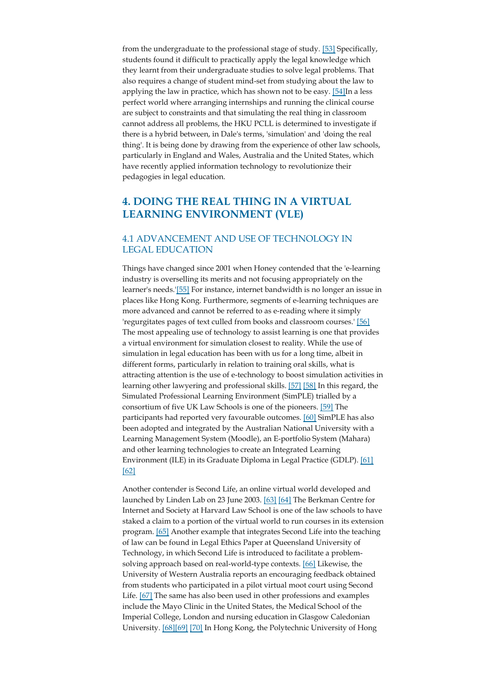from the undergraduate to the professional stage of study. [53] Specifically, students found it difficult to practically apply the legal knowledge which they learnt from their undergraduate studies to solve legal problems. That also requires a change of student mind-set from studying about the law to applying the law in practice, which has shown not to be easy. [54]In a less perfect world where arranging internships and running the clinical course are subject to constraints and that simulating the real thing in classroom cannot address all problems, the HKU PCLL is determined to investigate if there is a hybrid between, in Dale's terms, 'simulation' and 'doing the real thing'. It is being done by drawing from the experience of other law schools, particularly in England and Wales, Australia and the United States, which have recently applied information technology to revolutionize their pedagogies in legal education.

## **4. DOING THE REAL THING IN A VIRTUAL LEARNING ENVIRONMENT (VLE)**

### 4.1 ADVANCEMENT AND USE OF TECHNOLOGY IN LEGAL EDUCATION

Things have changed since 2001 when Honey contended that the 'e-learning industry is overselling its merits and not focusing appropriately on the learner's needs.'[55] For instance, internet bandwidth is no longer an issue in places like Hong Kong. Furthermore, segments of e-learning techniques are more advanced and cannot be referred to as e-reading where it simply 'regurgitates pages of text culled from books and classroom courses.' [56] The most appealing use of technology to assist learning is one that provides a virtual environment for simulation closest to reality. While the use of simulation in legal education has been with us for a long time, albeit in different forms, particularly in relation to training oral skills, what is attracting attention is the use of e-technology to boost simulation activities in learning other lawyering and professional skills. [57] [58] In this regard, the Simulated Professional Learning Environment (SimPLE) trialled by a consortium of five UK Law Schools is one of the pioneers. [59] The participants had reported very favourable outcomes. [60] SimPLE has also been adopted and integrated by the Australian National University with a Learning Management System (Moodle), an E-portfolio System (Mahara) and other learning technologies to create an Integrated Learning Environment (ILE) in its Graduate Diploma in Legal Practice (GDLP). [61] [62]

Another contender is Second Life, an online virtual world developed and launched by Linden Lab on 23 June 2003. [63] [64] The Berkman Centre for Internet and Society at Harvard Law School is one of the law schools to have staked a claim to a portion of the virtual world to run courses in its extension program. [65] Another example that integrates Second Life into the teaching of law can be found in Legal Ethics Paper at Queensland University of Technology, in which Second Life is introduced to facilitate a problemsolving approach based on real-world-type contexts. [66] Likewise, the University of Western Australia reports an encouraging feedback obtained from students who participated in a pilot virtual moot court using Second Life. [67] The same has also been used in other professions and examples include the Mayo Clinic in the United States, the Medical School of the Imperial College, London and nursing education in Glasgow Caledonian University. [68][69] [70] In Hong Kong, the Polytechnic University of Hong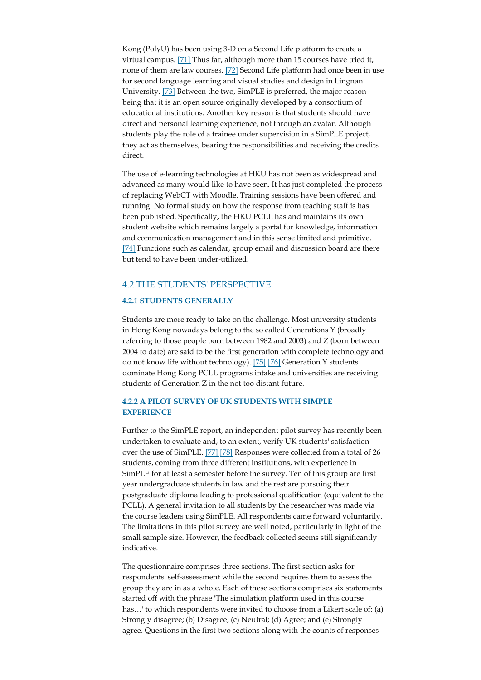Kong (PolyU) has been using 3-D on a Second Life platform to create a virtual campus. [71] Thus far, although more than 15 courses have tried it, none of them are law courses. [72] Second Life platform had once been in use for second language learning and visual studies and design in Lingnan University. [73] Between the two, SimPLE is preferred, the major reason being that it is an open source originally developed by a consortium of educational institutions. Another key reason is that students should have direct and personal learning experience, not through an avatar. Although students play the role of a trainee under supervision in a SimPLE project, they act as themselves, bearing the responsibilities and receiving the credits direct.

The use of e-learning technologies at HKU has not been as widespread and advanced as many would like to have seen. It has just completed the process of replacing WebCT with Moodle. Training sessions have been offered and running. No formal study on how the response from teaching staff is has been published. Specifically, the HKU PCLL has and maintains its own student website which remains largely a portal for knowledge, information and communication management and in this sense limited and primitive. [74] Functions such as calendar, group email and discussion board are there but tend to have been under-utilized.

#### 4.2 THE STUDENTS' PERSPECTIVE

#### **4.2.1 STUDENTS GENERALLY**

Students are more ready to take on the challenge. Most university students in Hong Kong nowadays belong to the so called Generations Y (broadly referring to those people born between 1982 and 2003) and Z (born between 2004 to date) are said to be the first generation with complete technology and do not know life without technology). [75] [76] Generation Y students dominate Hong Kong PCLL programs intake and universities are receiving students of Generation Z in the not too distant future.

#### **4.2.2 A PILOT SURVEY OF UK STUDENTS WITH SIMPLE EXPERIENCE**

Further to the SimPLE report, an independent pilot survey has recently been undertaken to evaluate and, to an extent, verify UK students' satisfaction over the use of SimPLE. [77] [78] Responses were collected from a total of 26 students, coming from three different institutions, with experience in SimPLE for at least a semester before the survey. Ten of this group are first year undergraduate students in law and the rest are pursuing their postgraduate diploma leading to professional qualification (equivalent to the PCLL). A general invitation to all students by the researcher was made via the course leaders using SimPLE. All respondents came forward voluntarily. The limitations in this pilot survey are well noted, particularly in light of the small sample size. However, the feedback collected seems still significantly indicative.

The questionnaire comprises three sections. The first section asks for respondents' self-assessment while the second requires them to assess the group they are in as a whole. Each of these sections comprises six statements started off with the phrase 'The simulation platform used in this course has…' to which respondents were invited to choose from a Likert scale of: (a) Strongly disagree; (b) Disagree; (c) Neutral; (d) Agree; and (e) Strongly agree. Questions in the first two sections along with the counts of responses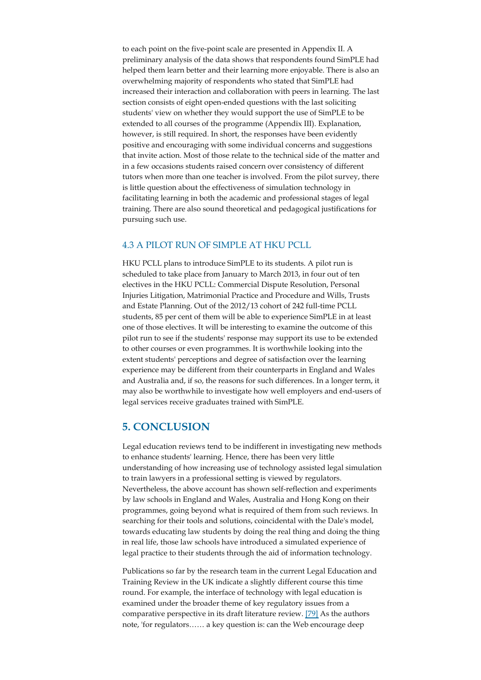to each point on the five-point scale are presented in Appendix II. A preliminary analysis of the data shows that respondents found SimPLE had helped them learn better and their learning more enjoyable. There is also an overwhelming majority of respondents who stated that SimPLE had increased their interaction and collaboration with peers in learning. The last section consists of eight open-ended questions with the last soliciting students' view on whether they would support the use of SimPLE to be extended to all courses of the programme (Appendix III). Explanation, however, is still required. In short, the responses have been evidently positive and encouraging with some individual concerns and suggestions that invite action. Most of those relate to the technical side of the matter and in a few occasions students raised concern over consistency of different tutors when more than one teacher is involved. From the pilot survey, there is little question about the effectiveness of simulation technology in facilitating learning in both the academic and professional stages of legal training. There are also sound theoretical and pedagogical justifications for pursuing such use.

#### 4.3 A PILOT RUN OF SIMPLE AT HKU PCLL

HKU PCLL plans to introduce SimPLE to its students. A pilot run is scheduled to take place from January to March 2013, in four out of ten electives in the HKU PCLL: Commercial Dispute Resolution, Personal Injuries Litigation, Matrimonial Practice and Procedure and Wills, Trusts and Estate Planning. Out of the 2012/13 cohort of 242 full-time PCLL students, 85 per cent of them will be able to experience SimPLE in at least one of those electives. It will be interesting to examine the outcome of this pilot run to see if the students' response may support its use to be extended to other courses or even programmes. It is worthwhile looking into the extent students' perceptions and degree of satisfaction over the learning experience may be different from their counterparts in England and Wales and Australia and, if so, the reasons for such differences. In a longer term, it may also be worthwhile to investigate how well employers and end-users of legal services receive graduates trained with SimPLE.

### **5. CONCLUSION**

Legal education reviews tend to be indifferent in investigating new methods to enhance students' learning. Hence, there has been very little understanding of how increasing use of technology assisted legal simulation to train lawyers in a professional setting is viewed by regulators. Nevertheless, the above account has shown self-reflection and experiments by law schools in England and Wales, Australia and Hong Kong on their programmes, going beyond what is required of them from such reviews. In searching for their tools and solutions, coincidental with the Dale's model, towards educating law students by doing the real thing and doing the thing in real life, those law schools have introduced a simulated experience of legal practice to their students through the aid of information technology.

Publications so far by the research team in the current Legal Education and Training Review in the UK indicate a slightly different course this time round. For example, the interface of technology with legal education is examined under the broader theme of key regulatory issues from a comparative perspective in its draft literature review. [79] As the authors note, 'for regulators…… a key question is: can the Web encourage deep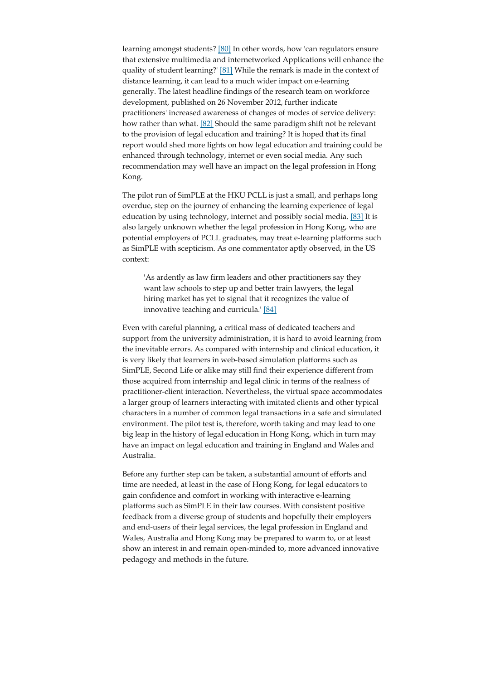learning amongst students? [80] In other words, how 'can regulators ensure that extensive multimedia and internetworked Applications will enhance the quality of student learning?' [81] While the remark is made in the context of distance learning, it can lead to a much wider impact on e-learning generally. The latest headline findings of the research team on workforce development, published on 26 November 2012, further indicate practitioners' increased awareness of changes of modes of service delivery: how rather than what. [82] Should the same paradigm shift not be relevant to the provision of legal education and training? It is hoped that its final report would shed more lights on how legal education and training could be enhanced through technology, internet or even social media. Any such recommendation may well have an impact on the legal profession in Hong Kong.

The pilot run of SimPLE at the HKU PCLL is just a small, and perhaps long overdue, step on the journey of enhancing the learning experience of legal education by using technology, internet and possibly social media. [83] It is also largely unknown whether the legal profession in Hong Kong, who are potential employers of PCLL graduates, may treat e-learning platforms such as SimPLE with scepticism. As one commentator aptly observed, in the US context:

'As ardently as law firm leaders and other practitioners say they want law schools to step up and better train lawyers, the legal hiring market has yet to signal that it recognizes the value of innovative teaching and curricula.' [84]

Even with careful planning, a critical mass of dedicated teachers and support from the university administration, it is hard to avoid learning from the inevitable errors. As compared with internship and clinical education, it is very likely that learners in web-based simulation platforms such as SimPLE, Second Life or alike may still find their experience different from those acquired from internship and legal clinic in terms of the realness of practitioner-client interaction. Nevertheless, the virtual space accommodates a larger group of learners interacting with imitated clients and other typical characters in a number of common legal transactions in a safe and simulated environment. The pilot test is, therefore, worth taking and may lead to one big leap in the history of legal education in Hong Kong, which in turn may have an impact on legal education and training in England and Wales and Australia.

Before any further step can be taken, a substantial amount of efforts and time are needed, at least in the case of Hong Kong, for legal educators to gain confidence and comfort in working with interactive e-learning platforms such as SimPLE in their law courses. With consistent positive feedback from a diverse group of students and hopefully their employers and end-users of their legal services, the legal profession in England and Wales, Australia and Hong Kong may be prepared to warm to, or at least show an interest in and remain open-minded to, more advanced innovative pedagogy and methods in the future.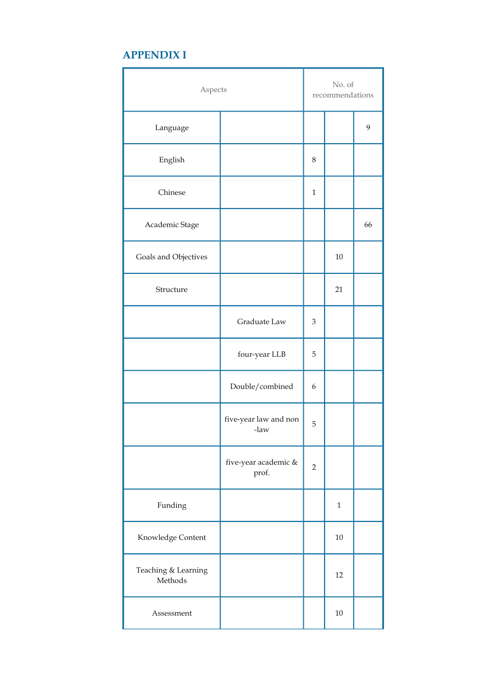# **APPENDIX I**

| Aspects                        |                               | No. of<br>recommendations |              |    |
|--------------------------------|-------------------------------|---------------------------|--------------|----|
| Language                       |                               |                           |              | 9  |
| English                        |                               | $8\,$                     |              |    |
| Chinese                        |                               | $\mathbf{1}$              |              |    |
| Academic Stage                 |                               |                           |              | 66 |
| Goals and Objectives           |                               |                           | $10\,$       |    |
| Structure                      |                               |                           | 21           |    |
|                                | Graduate Law                  | $\mathfrak{Z}$            |              |    |
|                                | four-year LLB                 | 5                         |              |    |
|                                | Double/combined               | 6                         |              |    |
|                                | five-year law and non<br>-law | 5                         |              |    |
|                                | five-year academic &<br>prof. | $\sqrt{2}$                |              |    |
| Funding                        |                               |                           | $\mathbf{1}$ |    |
| Knowledge Content              |                               |                           | $10\,$       |    |
| Teaching & Learning<br>Methods |                               |                           | 12           |    |
| Assessment                     |                               |                           | $10\,$       |    |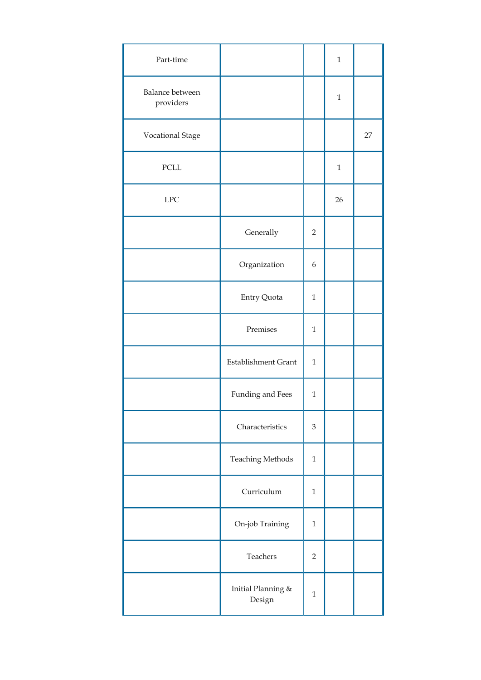| Part-time                    |                                 |                | $\mathbf{1}$ |    |
|------------------------------|---------------------------------|----------------|--------------|----|
| Balance between<br>providers |                                 |                | $\mathbf{1}$ |    |
| Vocational Stage             |                                 |                |              | 27 |
| $\ensuremath{\mathsf{PCLL}}$ |                                 |                | $\mathbf{1}$ |    |
| ${\rm LPC}$                  |                                 |                | 26           |    |
|                              | Generally                       | $\overline{2}$ |              |    |
|                              | Organization                    | 6              |              |    |
|                              | Entry Quota                     | $\mathbf{1}$   |              |    |
|                              | Premises                        | $\mathbf{1}$   |              |    |
|                              | <b>Establishment Grant</b>      | $\mathbf{1}$   |              |    |
|                              | Funding and Fees                | $\mathbf{1}$   |              |    |
|                              | Characteristics                 | 3              |              |    |
|                              | <b>Teaching Methods</b>         | $\mathbf{1}$   |              |    |
|                              | Curriculum                      | $\mathbf{1}$   |              |    |
|                              | On-job Training                 | $\mathbf{1}$   |              |    |
|                              | Teachers                        | $\overline{2}$ |              |    |
|                              | Initial Planning $\&$<br>Design | $\mathbf{1}$   |              |    |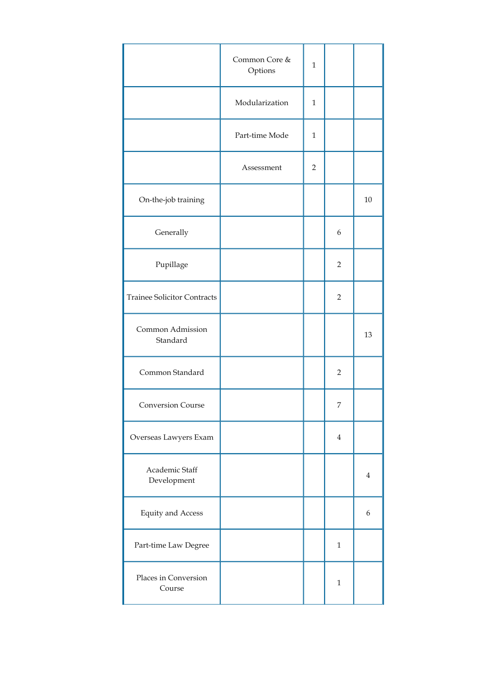|                                    | Common Core &<br>Options | $\mathbf 1$    |                |                  |
|------------------------------------|--------------------------|----------------|----------------|------------------|
|                                    | Modularization           | $\mathbf{1}$   |                |                  |
|                                    | Part-time Mode           | $\mathbf{1}$   |                |                  |
|                                    | Assessment               | $\overline{2}$ |                |                  |
| On-the-job training                |                          |                |                | 10               |
| Generally                          |                          |                | 6              |                  |
| Pupillage                          |                          |                | $\overline{2}$ |                  |
| <b>Trainee Solicitor Contracts</b> |                          |                | $\overline{2}$ |                  |
| Common Admission<br>Standard       |                          |                |                | 13               |
| Common Standard                    |                          |                | $\overline{2}$ |                  |
| Conversion Course                  |                          |                | 7              |                  |
| Overseas Lawyers Exam              |                          |                | $\overline{4}$ |                  |
| Academic Staff<br>Development      |                          |                |                | $\overline{4}$   |
| <b>Equity and Access</b>           |                          |                |                | $\boldsymbol{6}$ |
| Part-time Law Degree               |                          |                | $\mathbf{1}$   |                  |
| Places in Conversion<br>Course     |                          |                | $\mathbf{1}$   |                  |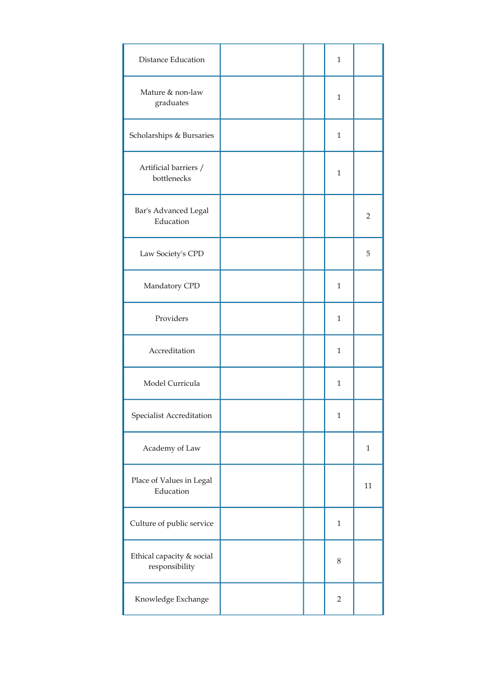| <b>Distance Education</b>                   |  | 1              |                |
|---------------------------------------------|--|----------------|----------------|
| Mature & non-law<br>graduates               |  | $\mathbf{1}$   |                |
| Scholarships & Bursaries                    |  | $\mathbf{1}$   |                |
| Artificial barriers /<br>bottlenecks        |  | $\mathbf{1}$   |                |
| Bar's Advanced Legal<br>Education           |  |                | $\overline{2}$ |
| Law Society's CPD                           |  |                | 5              |
| Mandatory CPD                               |  | $\mathbf{1}$   |                |
| Providers                                   |  | 1              |                |
| Accreditation                               |  | $\mathbf{1}$   |                |
| Model Curricula                             |  | $\mathbf{1}$   |                |
| Specialist Accreditation                    |  | $\mathbf{1}$   |                |
| Academy of Law                              |  |                | $\mathbf{1}$   |
| Place of Values in Legal<br>Education       |  |                | 11             |
| Culture of public service                   |  | $\mathbf{1}$   |                |
| Ethical capacity & social<br>responsibility |  | 8              |                |
| Knowledge Exchange                          |  | $\overline{2}$ |                |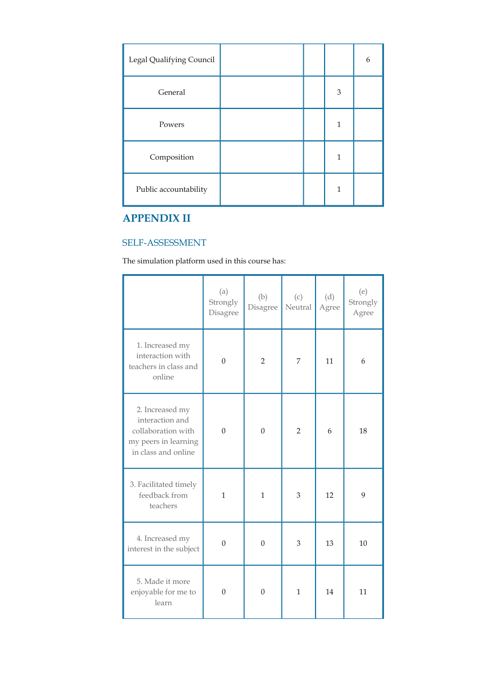| Legal Qualifying Council |  |              | 6 |
|--------------------------|--|--------------|---|
| General                  |  | 3            |   |
| Powers                   |  | 1            |   |
| Composition              |  | $\mathbf{1}$ |   |
| Public accountability    |  | 1            |   |

# **APPENDIX II**

## SELF-ASSESSMENT

The simulation platform used in this course has:

|                                                                                                         | (a)<br>Strongly<br>Disagree | (b)<br>Disagree | (c)<br>Neutral | (d)<br>Agree | (e)<br>Strongly<br>Agree |
|---------------------------------------------------------------------------------------------------------|-----------------------------|-----------------|----------------|--------------|--------------------------|
| 1. Increased my<br>interaction with<br>teachers in class and<br>online                                  | $\mathbf{0}$                | $\overline{2}$  | 7              | 11           | 6                        |
| 2. Increased my<br>interaction and<br>collaboration with<br>my peers in learning<br>in class and online | $\mathbf{0}$                | $\mathbf{0}$    | $\overline{2}$ | 6            | 18                       |
| 3. Facilitated timely<br>feedback from<br>teachers                                                      | $\mathbf{1}$                | $\mathbf{1}$    | 3              | 12           | 9                        |
| 4. Increased my<br>interest in the subject                                                              | $\boldsymbol{0}$            | $\theta$        | 3              | 13           | 10                       |
| 5. Made it more<br>enjoyable for me to<br>learn                                                         | $\Omega$                    | $\Omega$        | 1              | 14           | 11                       |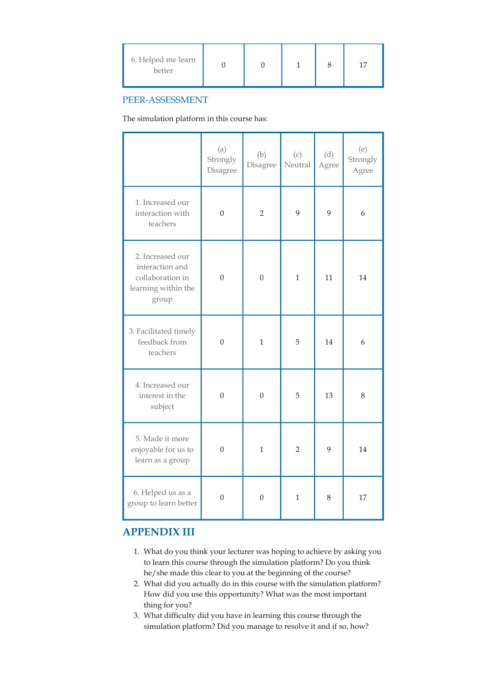| 6. Helped me learn<br>better |  |  |  |  |  |
|------------------------------|--|--|--|--|--|
|------------------------------|--|--|--|--|--|

### PEER-ASSESSMENT

The simulation platform in this course has:

|                                                                                         | (a)<br>Strongly<br>Disagree | (b)<br>Disagree  | (c)<br>Neutral | (d)<br>Agree | (e)<br>Strongly<br>Agree |
|-----------------------------------------------------------------------------------------|-----------------------------|------------------|----------------|--------------|--------------------------|
| 1. Increased our<br>interaction with<br>teachers                                        | $\mathbf{0}$                | $\overline{2}$   | 9              | 9            | 6                        |
| 2. Increased our<br>interaction and<br>collaboration in<br>learning within the<br>group | $\boldsymbol{0}$            | $\mathbf{0}$     | $\mathbf{1}$   | 11           | 14                       |
| 3. Facilitated timely<br>feedback from<br>teachers                                      | $\overline{0}$              | $\mathbf{1}$     | 5              | 14           | 6                        |
| 4. Increased our<br>interest in the<br>subject                                          | $\mathbf{0}$                | $\theta$         | 5              | 13           | 8                        |
| 5. Made it more<br>enjoyable for us to<br>learn as a group                              | $\mathbf{0}$                | 1                | $\overline{2}$ | 9            | 14                       |
| 6. Helped us as a<br>group to learn better                                              | $\boldsymbol{0}$            | $\boldsymbol{0}$ | $\mathbf{1}$   | 8            | 17                       |

## **APPENDIX III**

- What do you think your lecturer was hoping to achieve by asking you 1. to learn this course through the simulation platform? Do you think he/she made this clear to you at the beginning of the course?
- What did you actually do in this course with the simulation platform? 2. How did you use this opportunity? What was the most important thing for you?
- What difficulty did you have in learning this course through the 3.simulation platform? Did you manage to resolve it and if so, how?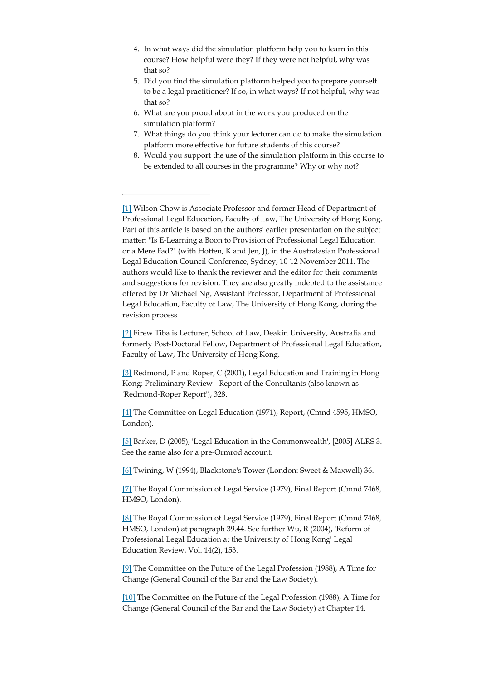- 4. In what ways did the simulation platform help you to learn in this course? How helpful were they? If they were not helpful, why was that so?
- 5. Did you find the simulation platform helped you to prepare yourself to be a legal practitioner? If so, in what ways? If not helpful, why was that so?
- What are you proud about in the work you produced on the 6. simulation platform?
- What things do you think your lecturer can do to make the simulation 7. platform more effective for future students of this course?
- Would you support the use of the simulation platform in this course to 8. be extended to all courses in the programme? Why or why not?

[1] Wilson Chow is Associate Professor and former Head of Department of Professional Legal Education, Faculty of Law, The University of Hong Kong. Part of this article is based on the authors' earlier presentation on the subject matter: "Is E-Learning a Boon to Provision of Professional Legal Education or a Mere Fad?" (with Hotten, K and Jen, J), in the Australasian Professional Legal Education Council Conference, Sydney, 10-12 November 2011. The authors would like to thank the reviewer and the editor for their comments and suggestions for revision. They are also greatly indebted to the assistance offered by Dr Michael Ng, Assistant Professor, Department of Professional Legal Education, Faculty of Law, The University of Hong Kong, during the revision process

[2] Firew Tiba is Lecturer, School of Law, Deakin University, Australia and formerly Post-Doctoral Fellow, Department of Professional Legal Education, Faculty of Law, The University of Hong Kong.

[3] Redmond, P and Roper, C (2001), Legal Education and Training in Hong Kong: Preliminary Review - Report of the Consultants (also known as 'Redmond-Roper Report'), 328.

[4] The Committee on Legal Education (1971), Report, (Cmnd 4595, HMSO, London).

[5] Barker, D (2005), 'Legal Education in the Commonwealth', [2005] ALRS 3. See the same also for a pre-Ormrod account.

[6] Twining, W (1994), Blackstone's Tower (London: Sweet & Maxwell) 36.

[7] The Royal Commission of Legal Service (1979), Final Report (Cmnd 7468, HMSO, London).

[8] The Royal Commission of Legal Service (1979), Final Report (Cmnd 7468, HMSO, London) at paragraph 39.44. See further Wu, R (2004), 'Reform of Professional Legal Education at the University of Hong Kong' Legal Education Review, Vol. 14(2), 153.

[9] The Committee on the Future of the Legal Profession (1988), A Time for Change (General Council of the Bar and the Law Society).

[10] The Committee on the Future of the Legal Profession (1988), A Time for Change (General Council of the Bar and the Law Society) at Chapter 14.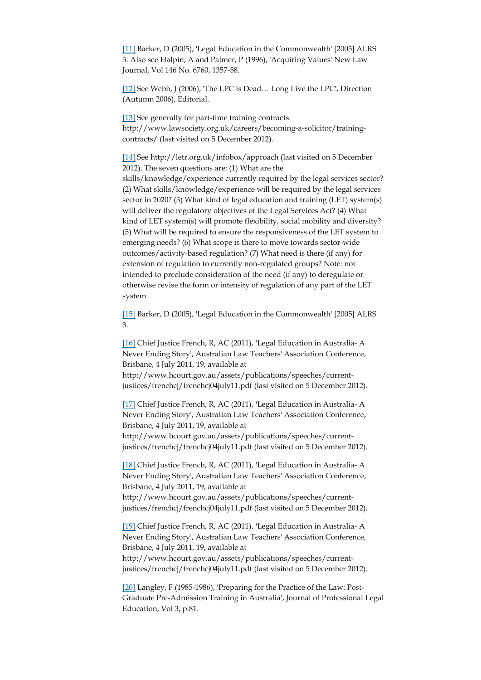[11] Barker, D (2005), 'Legal Education in the Commonwealth' [2005] ALRS 3. Also see Halpin, A and Palmer, P (1996), 'Acquiring Values' New Law Journal, Vol 146 No. 6760, 1357-58.

[12] See Webb, J (2006), 'The LPC is Dead... Long Live the LPC', Direction (Autumn 2006), Editorial.

[13] See generally for part-time training contracts: http://www.lawsociety.org.uk/careers/becoming-a-solicitor/trainingcontracts/ (last visited on 5 December 2012).

[14] See http://letr.org.uk/infobox/approach (last visited on 5 December 2012). The seven questions are: (1) What are the skills/knowledge/experience currently required by the legal services sector? (2) What skills/knowledge/experience will be required by the legal services sector in 2020? (3) What kind of legal education and training (LET) system(s) will deliver the regulatory objectives of the Legal Services Act? (4) What kind of LET system(s) will promote flexibility, social mobility and diversity? (5) What will be required to ensure the responsiveness of the LET system to emerging needs? (6) What scope is there to move towards sector-wide outcomes/activity-based regulation? (7) What need is there (if any) for extension of regulation to currently non-regulated groups? Note: not intended to preclude consideration of the need (if any) to deregulate or otherwise revise the form or intensity of regulation of any part of the LET system.

[15] Barker, D (2005), 'Legal Education in the Commonwealth' [2005] ALRS 3.

[16] Chief Justice French, R, AC (2011), **'**Legal Education in Australia- A Never Ending Story', Australian Law Teachers' Association Conference, Brisbane, 4 July 2011, 19, available at

http://www.hcourt.gov.au/assets/publications/speeches/currentjustices/frenchcj/frenchcj04july11.pdf (last visited on 5 December 2012).

[17] Chief Justice French, R, AC (2011), **'**Legal Education in Australia- A Never Ending Story', Australian Law Teachers' Association Conference, Brisbane, 4 July 2011, 19, available at

http://www.hcourt.gov.au/assets/publications/speeches/currentjustices/frenchcj/frenchcj04july11.pdf (last visited on 5 December 2012).

[18] Chief Justice French, R, AC (2011), **'**Legal Education in Australia- A Never Ending Story', Australian Law Teachers' Association Conference, Brisbane, 4 July 2011, 19, available at

http://www.hcourt.gov.au/assets/publications/speeches/currentjustices/frenchcj/frenchcj04july11.pdf (last visited on 5 December 2012).

[19] Chief Justice French, R, AC (2011), **'**Legal Education in Australia- A Never Ending Story', Australian Law Teachers' Association Conference, Brisbane, 4 July 2011, 19, available at

http://www.hcourt.gov.au/assets/publications/speeches/currentjustices/frenchcj/frenchcj04july11.pdf (last visited on 5 December 2012).

[20] Langley, F (1985-1986), 'Preparing for the Practice of the Law: Post-Graduate Pre-Admission Training in Australia', Journal of Professional Legal Education, Vol 3, p.81.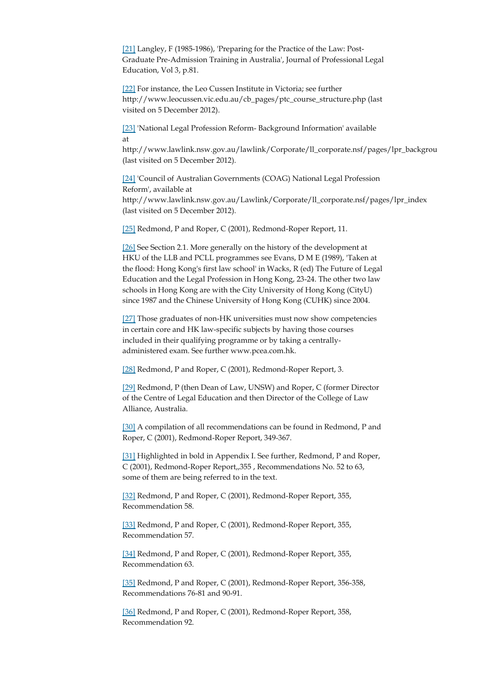[21] Langley, F (1985-1986), 'Preparing for the Practice of the Law: Post-Graduate Pre-Admission Training in Australia', Journal of Professional Legal Education, Vol 3, p.81.

[22] For instance, the Leo Cussen Institute in Victoria; see further http://www.leocussen.vic.edu.au/cb\_pages/ptc\_course\_structure.php (last visited on 5 December 2012).

[23] 'National Legal Profession Reform- Background Information' available at

http://www.lawlink.nsw.gov.au/lawlink/Corporate/ll\_corporate.nsf/pages/lpr\_backgrou (last visited on 5 December 2012).

[24] 'Council of Australian Governments (COAG) National Legal Profession Reform', available at http://www.lawlink.nsw.gov.au/Lawlink/Corporate/ll\_corporate.nsf/pages/lpr\_index (last visited on 5 December 2012).

[25] Redmond, P and Roper, C (2001), Redmond-Roper Report, 11.

[26] See Section 2.1. More generally on the history of the development at HKU of the LLB and PCLL programmes see Evans, D M E (1989), 'Taken at the flood: Hong Kong's first law school' in Wacks, R (ed) The Future of Legal Education and the Legal Profession in Hong Kong, 23-24. The other two law schools in Hong Kong are with the City University of Hong Kong (CityU) since 1987 and the Chinese University of Hong Kong (CUHK) since 2004.

[27] Those graduates of non-HK universities must now show competencies in certain core and HK law-specific subjects by having those courses included in their qualifying programme or by taking a centrallyadministered exam. See further www.pcea.com.hk.

[28] Redmond, P and Roper, C (2001), Redmond-Roper Report, 3.

[29] Redmond, P (then Dean of Law, UNSW) and Roper, C (former Director of the Centre of Legal Education and then Director of the College of Law Alliance, Australia.

[30] A compilation of all recommendations can be found in Redmond, P and Roper, C (2001), Redmond-Roper Report, 349-367.

[31] Highlighted in bold in Appendix I. See further, Redmond, P and Roper, C (2001), Redmond-Roper Report,,355 , Recommendations No. 52 to 63, some of them are being referred to in the text.

[32] Redmond, P and Roper, C (2001), Redmond-Roper Report, 355, Recommendation 58.

[33] Redmond, P and Roper, C (2001), Redmond-Roper Report, 355, Recommendation 57.

[34] Redmond, P and Roper, C (2001), Redmond-Roper Report, 355, Recommendation 63.

[35] Redmond, P and Roper, C (2001), Redmond-Roper Report, 356-358, Recommendations 76-81 and 90-91.

[36] Redmond, P and Roper, C (2001), Redmond-Roper Report, 358, Recommendation 92.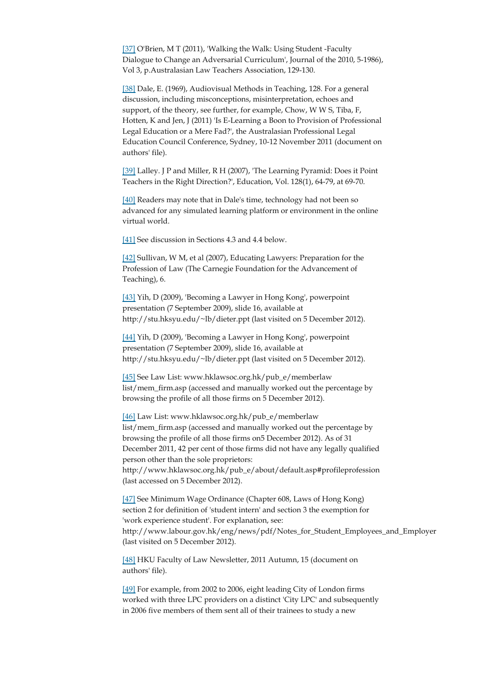[37] O'Brien, M T (2011), 'Walking the Walk: Using Student -Faculty Dialogue to Change an Adversarial Curriculum', Journal of the 2010, 5-1986), Vol 3, p.Australasian Law Teachers Association, 129-130.

[38] Dale, E. (1969), Audiovisual Methods in Teaching, 128. For a general discussion, including misconceptions, misinterpretation, echoes and support, of the theory, see further, for example, Chow, W W S, Tiba, F, Hotten, K and Jen, J (2011) 'Is E-Learning a Boon to Provision of Professional Legal Education or a Mere Fad?', the Australasian Professional Legal Education Council Conference, Sydney, 10-12 November 2011 (document on authors' file).

[39] Lalley. J P and Miller, R H (2007), 'The Learning Pyramid: Does it Point Teachers in the Right Direction?', Education, Vol. 128(1), 64-79, at 69-70.

[40] Readers may note that in Dale's time, technology had not been so advanced for any simulated learning platform or environment in the online virtual world.

[41] See discussion in Sections 4.3 and 4.4 below.

[42] Sullivan, W M, et al (2007), Educating Lawyers: Preparation for the Profession of Law (The Carnegie Foundation for the Advancement of Teaching), 6.

[43] Yih, D (2009), 'Becoming a Lawyer in Hong Kong', powerpoint presentation (7 September 2009), slide 16, available at http://stu.hksyu.edu/~lb/dieter.ppt (last visited on 5 December 2012).

[44] Yih, D (2009), 'Becoming a Lawyer in Hong Kong', powerpoint presentation (7 September 2009), slide 16, available at http://stu.hksyu.edu/~lb/dieter.ppt (last visited on 5 December 2012).

[45] See Law List: www.hklawsoc.org.hk/pub\_e/memberlaw list/mem\_firm.asp (accessed and manually worked out the percentage by browsing the profile of all those firms on 5 December 2012).

[46] Law List: www.hklawsoc.org.hk/pub\_e/memberlaw list/mem\_firm.asp (accessed and manually worked out the percentage by browsing the profile of all those firms on5 December 2012). As of 31 December 2011, 42 per cent of those firms did not have any legally qualified person other than the sole proprietors: http://www.hklawsoc.org.hk/pub\_e/about/default.asp#profileprofession (last accessed on 5 December 2012).

[47] See Minimum Wage Ordinance (Chapter 608, Laws of Hong Kong) section 2 for definition of 'student intern' and section 3 the exemption for 'work experience student'. For explanation, see: http://www.labour.gov.hk/eng/news/pdf/Notes\_for\_Student\_Employees\_and\_Employer (last visited on 5 December 2012).

[48] HKU Faculty of Law Newsletter, 2011 Autumn, 15 (document on authors' file).

[49] For example, from 2002 to 2006, eight leading City of London firms worked with three LPC providers on a distinct 'City LPC' and subsequently in 2006 five members of them sent all of their trainees to study a new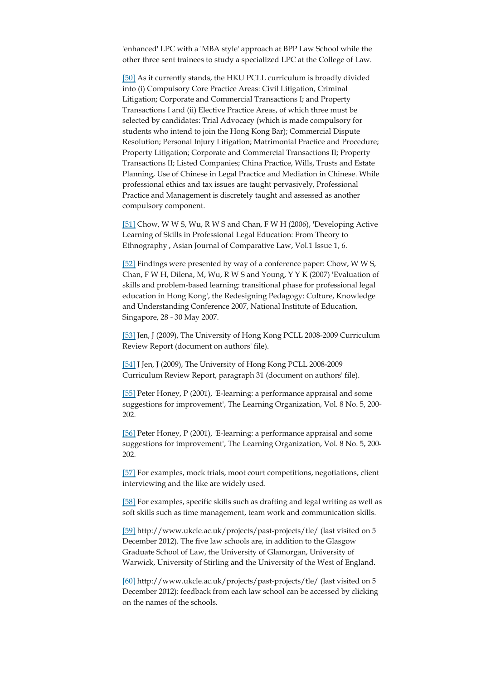'enhanced' LPC with a 'MBA style' approach at BPP Law School while the other three sent trainees to study a specialized LPC at the College of Law.

[50] As it currently stands, the HKU PCLL curriculum is broadly divided into (i) Compulsory Core Practice Areas: Civil Litigation, Criminal Litigation; Corporate and Commercial Transactions I; and Property Transactions I and (ii) Elective Practice Areas, of which three must be selected by candidates: Trial Advocacy (which is made compulsory for students who intend to join the Hong Kong Bar); Commercial Dispute Resolution; Personal Injury Litigation; Matrimonial Practice and Procedure; Property Litigation; Corporate and Commercial Transactions II; Property Transactions II; Listed Companies; China Practice, Wills, Trusts and Estate Planning, Use of Chinese in Legal Practice and Mediation in Chinese. While professional ethics and tax issues are taught pervasively, Professional Practice and Management is discretely taught and assessed as another compulsory component.

[51] Chow, W W S, Wu, R W S and Chan, F W H (2006), 'Developing Active Learning of Skills in Professional Legal Education: From Theory to Ethnography', Asian Journal of Comparative Law, Vol.1 Issue 1, 6.

[52] Findings were presented by way of a conference paper: Chow, W W S, Chan, F W H, Dilena, M, Wu, R W S and Young, Y Y K (2007) 'Evaluation of skills and problem-based learning: transitional phase for professional legal education in Hong Kong', the Redesigning Pedagogy: Culture, Knowledge and Understanding Conference 2007, National Institute of Education, Singapore, 28 - 30 May 2007.

[53] Jen, J (2009), The University of Hong Kong PCLL 2008-2009 Curriculum Review Report (document on authors' file).

[54] J Jen, J (2009), The University of Hong Kong PCLL 2008-2009 Curriculum Review Report, paragraph 31 (document on authors' file).

[55] Peter Honey, P (2001), 'E-learning: a performance appraisal and some suggestions for improvement', The Learning Organization, Vol. 8 No. 5, 200- 202.

[56] Peter Honey, P (2001), 'E-learning: a performance appraisal and some suggestions for improvement', The Learning Organization, Vol. 8 No. 5, 200- 202.

[57] For examples, mock trials, moot court competitions, negotiations, client interviewing and the like are widely used.

[58] For examples, specific skills such as drafting and legal writing as well as soft skills such as time management, team work and communication skills.

[59] http://www.ukcle.ac.uk/projects/past-projects/tle/ (last visited on 5 December 2012). The five law schools are, in addition to the Glasgow Graduate School of Law, the University of Glamorgan, University of Warwick, University of Stirling and the University of the West of England.

[60] http://www.ukcle.ac.uk/projects/past-projects/tle/ (last visited on 5 December 2012): feedback from each law school can be accessed by clicking on the names of the schools.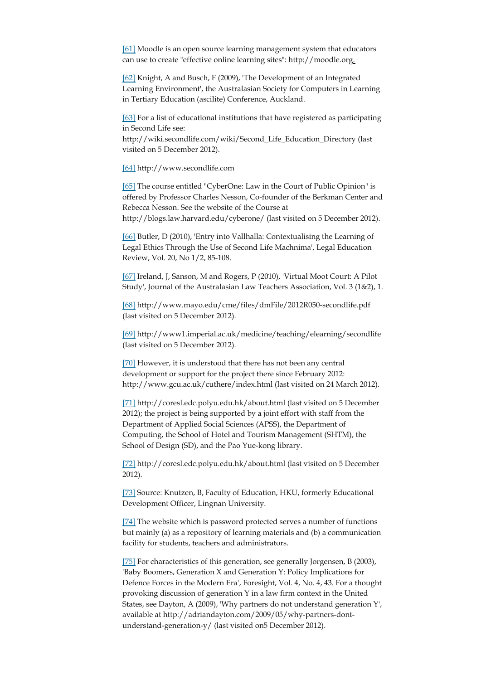[61] Moodle is an open source learning management system that educators can use to create "effective online learning sites": http://moodle.org.

[62] Knight, A and Busch, F (2009), 'The Development of an Integrated Learning Environment', the Australasian Society for Computers in Learning in Tertiary Education (ascilite) Conference, Auckland.

[63] For a list of educational institutions that have registered as participating in Second Life see:

http://wiki.secondlife.com/wiki/Second\_Life\_Education\_Directory (last visited on 5 December 2012).

[64] http://www.secondlife.com

[65] The course entitled "CyberOne: Law in the Court of Public Opinion" is offered by Professor Charles Nesson, Co-founder of the Berkman Center and Rebecca Nesson. See the website of the Course at http://blogs.law.harvard.edu/cyberone/ (last visited on 5 December 2012).

[66] Butler, D (2010), 'Entry into Vallhalla: Contextualising the Learning of Legal Ethics Through the Use of Second Life Machnima', Legal Education Review, Vol. 20, No 1/2, 85-108.

[67] Ireland, J, Sanson, M and Rogers, P (2010), 'Virtual Moot Court: A Pilot Study', Journal of the Australasian Law Teachers Association, Vol. 3 (1&2), 1.

[68] http://www.mayo.edu/cme/files/dmFile/2012R050-secondlife.pdf (last visited on 5 December 2012).

[69] http://www1.imperial.ac.uk/medicine/teaching/elearning/secondlife (last visited on 5 December 2012).

[70] However, it is understood that there has not been any central development or support for the project there since February 2012: http://www.gcu.ac.uk/cuthere/index.html (last visited on 24 March 2012).

[71] http://coresl.edc.polyu.edu.hk/about.html (last visited on 5 December 2012); the project is being supported by a joint effort with staff from the Department of Applied Social Sciences (APSS), the Department of Computing, the School of Hotel and Tourism Management (SHTM), the School of Design (SD), and the Pao Yue-kong library.

[72] http://coresl.edc.polyu.edu.hk/about.html (last visited on 5 December 2012).

[73] Source: Knutzen, B, Faculty of Education, HKU, formerly Educational Development Officer, Lingnan University.

[74] The website which is password protected serves a number of functions but mainly (a) as a repository of learning materials and (b) a communication facility for students, teachers and administrators.

[75] For characteristics of this generation, see generally Jorgensen, B (2003), 'Baby Boomers, Generation X and Generation Y: Policy Implications for Defence Forces in the Modern Era', Foresight, Vol. 4, No. 4, 43. For a thought provoking discussion of generation Y in a law firm context in the United States, see Dayton, A (2009), 'Why partners do not understand generation Y', available at http://adriandayton.com/2009/05/why-partners-dontunderstand-generation-y/ (last visited on5 December 2012).